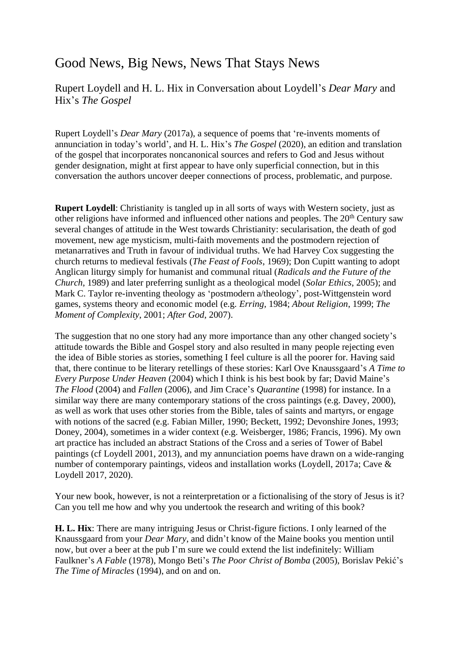## Good News, Big News, News That Stays News

Rupert Loydell and H. L. Hix in Conversation about Loydell's *Dear Mary* and Hix's *The Gospel*

Rupert Loydell's *Dear Mary* (2017a), a sequence of poems that 're-invents moments of annunciation in today's world', and H. L. Hix's *The Gospel* (2020), an edition and translation of the gospel that incorporates noncanonical sources and refers to God and Jesus without gender designation, might at first appear to have only superficial connection, but in this conversation the authors uncover deeper connections of process, problematic, and purpose.

**Rupert Loydell:** Christianity is tangled up in all sorts of ways with Western society, just as other religions have informed and influenced other nations and peoples. The 20<sup>th</sup> Century saw several changes of attitude in the West towards Christianity: secularisation, the death of god movement, new age mysticism, multi-faith movements and the postmodern rejection of metanarratives and Truth in favour of individual truths. We had Harvey Cox suggesting the church returns to medieval festivals (*The Feast of Fools*, 1969); Don Cupitt wanting to adopt Anglican liturgy simply for humanist and communal ritual (*Radicals and the Future of the Church*, 1989) and later preferring sunlight as a theological model (*Solar Ethics*, 2005); and Mark C. Taylor re-inventing theology as 'postmodern a/theology', post-Wittgenstein word games, systems theory and economic model (e.g. *Erring*, 1984; *About Religion*, 1999; *The Moment of Complexity*, 2001; *After God*, 2007).

The suggestion that no one story had any more importance than any other changed society's attitude towards the Bible and Gospel story and also resulted in many people rejecting even the idea of Bible stories as stories, something I feel culture is all the poorer for. Having said that, there continue to be literary retellings of these stories: Karl Ove Knaussgaard's *A Time to Every Purpose Under Heaven* (2004) which I think is his best book by far; David Maine's *The Flood* (2004) and *Fallen* (2006), and Jim Crace's *Quarantine* (1998) for instance. In a similar way there are many contemporary stations of the cross paintings (e.g. Davey, 2000), as well as work that uses other stories from the Bible, tales of saints and martyrs, or engage with notions of the sacred (e.g. Fabian Miller, 1990; Beckett, 1992; Devonshire Jones, 1993; Doney, 2004), sometimes in a wider context (e.g. Weisberger, 1986; Francis, 1996). My own art practice has included an abstract Stations of the Cross and a series of Tower of Babel paintings (cf Loydell 2001, 2013), and my annunciation poems have drawn on a wide-ranging number of contemporary paintings, videos and installation works (Loydell, 2017a; Cave & Loydell 2017, 2020).

Your new book, however, is not a reinterpretation or a fictionalising of the story of Jesus is it? Can you tell me how and why you undertook the research and writing of this book?

**H. L. Hix**: There are many intriguing Jesus or Christ-figure fictions. I only learned of the Knaussgaard from your *Dear Mary*, and didn't know of the Maine books you mention until now, but over a beer at the pub I'm sure we could extend the list indefinitely: William Faulkner's *A Fable* (1978), Mongo Beti's *The Poor Christ of Bomba* (2005), Borislav Pekić's *The Time of Miracles* (1994), and on and on.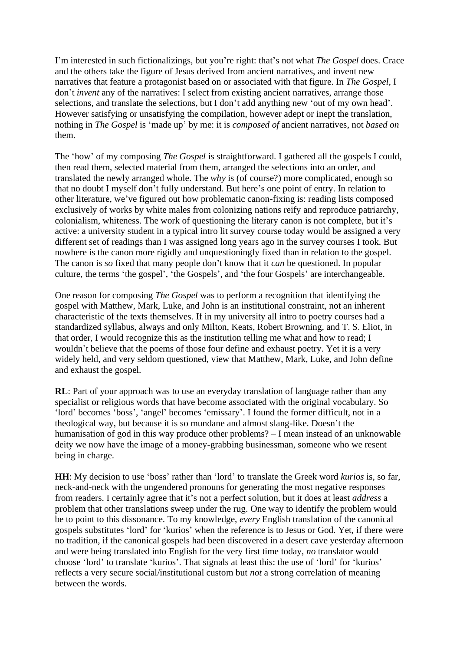I'm interested in such fictionalizings, but you're right: that's not what *The Gospel* does. Crace and the others take the figure of Jesus derived from ancient narratives, and invent new narratives that feature a protagonist based on or associated with that figure. In *The Gospel*, I don't *invent* any of the narratives: I select from existing ancient narratives, arrange those selections, and translate the selections, but I don't add anything new 'out of my own head'. However satisfying or unsatisfying the compilation, however adept or inept the translation, nothing in *The Gospel* is 'made up' by me: it is *composed of* ancient narratives, not *based on* them.

The 'how' of my composing *The Gospel* is straightforward. I gathered all the gospels I could, then read them, selected material from them, arranged the selections into an order, and translated the newly arranged whole. The *why* is (of course?) more complicated, enough so that no doubt I myself don't fully understand. But here's one point of entry. In relation to other literature, we've figured out how problematic canon-fixing is: reading lists composed exclusively of works by white males from colonizing nations reify and reproduce patriarchy, colonialism, whiteness. The work of questioning the literary canon is not complete, but it's active: a university student in a typical intro lit survey course today would be assigned a very different set of readings than I was assigned long years ago in the survey courses I took. But nowhere is the canon more rigidly and unquestioningly fixed than in relation to the gospel. The canon is *so* fixed that many people don't know that it *can* be questioned. In popular culture, the terms 'the gospel', 'the Gospels', and 'the four Gospels' are interchangeable.

One reason for composing *The Gospel* was to perform a recognition that identifying the gospel with Matthew, Mark, Luke, and John is an institutional constraint, not an inherent characteristic of the texts themselves. If in my university all intro to poetry courses had a standardized syllabus, always and only Milton, Keats, Robert Browning, and T. S. Eliot, in that order, I would recognize this as the institution telling me what and how to read; I wouldn't believe that the poems of those four define and exhaust poetry. Yet it is a very widely held, and very seldom questioned, view that Matthew, Mark, Luke, and John define and exhaust the gospel.

**RL**: Part of your approach was to use an everyday translation of language rather than any specialist or religious words that have become associated with the original vocabulary. So 'lord' becomes 'boss', 'angel' becomes 'emissary'. I found the former difficult, not in a theological way, but because it is so mundane and almost slang-like. Doesn't the humanisation of god in this way produce other problems? – I mean instead of an unknowable deity we now have the image of a money-grabbing businessman, someone who we resent being in charge.

**HH**: My decision to use 'boss' rather than 'lord' to translate the Greek word *kurios* is, so far, neck-and-neck with the ungendered pronouns for generating the most negative responses from readers. I certainly agree that it's not a perfect solution, but it does at least *address* a problem that other translations sweep under the rug. One way to identify the problem would be to point to this dissonance. To my knowledge, *every* English translation of the canonical gospels substitutes 'lord' for 'kurios' when the reference is to Jesus or God. Yet, if there were no tradition, if the canonical gospels had been discovered in a desert cave yesterday afternoon and were being translated into English for the very first time today, *no* translator would choose 'lord' to translate 'kurios'. That signals at least this: the use of 'lord' for 'kurios' reflects a very secure social/institutional custom but *not* a strong correlation of meaning between the words.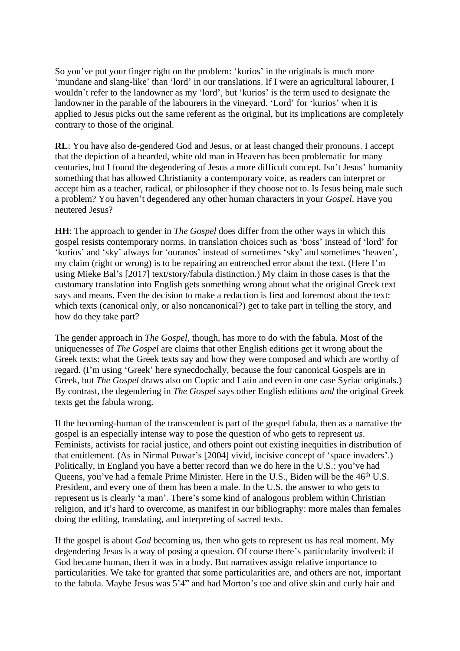So you've put your finger right on the problem: 'kurios' in the originals is much more 'mundane and slang-like' than 'lord' in our translations. If I were an agricultural labourer, I wouldn't refer to the landowner as my 'lord', but 'kurios' is the term used to designate the landowner in the parable of the labourers in the vineyard. 'Lord' for 'kurios' when it is applied to Jesus picks out the same referent as the original, but its implications are completely contrary to those of the original.

**RL**: You have also de-gendered God and Jesus, or at least changed their pronouns. I accept that the depiction of a bearded, white old man in Heaven has been problematic for many centuries, but I found the degendering of Jesus a more difficult concept. Isn't Jesus' humanity something that has allowed Christianity a contemporary voice, as readers can interpret or accept him as a teacher, radical, or philosopher if they choose not to. Is Jesus being male such a problem? You haven't degendered any other human characters in your *Gospel*. Have you neutered Jesus?

**HH**: The approach to gender in *The Gospel* does differ from the other ways in which this gospel resists contemporary norms. In translation choices such as 'boss' instead of 'lord' for 'kurios' and 'sky' always for 'ouranos' instead of sometimes 'sky' and sometimes 'heaven', my claim (right or wrong) is to be repairing an entrenched error about the text. (Here I'm using Mieke Bal's [2017] text/story/fabula distinction.) My claim in those cases is that the customary translation into English gets something wrong about what the original Greek text says and means. Even the decision to make a redaction is first and foremost about the text: which texts (canonical only, or also noncanonical?) get to take part in telling the story, and how do they take part?

The gender approach in *The Gospel*, though, has more to do with the fabula. Most of the uniquenesses of *The Gospel* are claims that other English editions get it wrong about the Greek texts: what the Greek texts say and how they were composed and which are worthy of regard. (I'm using 'Greek' here synecdochally, because the four canonical Gospels are in Greek, but *The Gospel* draws also on Coptic and Latin and even in one case Syriac originals.) By contrast, the degendering in *The Gospel* says other English editions *and* the original Greek texts get the fabula wrong.

If the becoming-human of the transcendent is part of the gospel fabula, then as a narrative the gospel is an especially intense way to pose the question of who gets to represent *us*. Feminists, activists for racial justice, and others point out existing inequities in distribution of that entitlement. (As in Nirmal Puwar's [2004] vivid, incisive concept of 'space invaders'.) Politically, in England you have a better record than we do here in the U.S.: you've had Queens, you've had a female Prime Minister. Here in the U.S., Biden will be the 46<sup>th</sup> U.S. President, and every one of them has been a male. In the U.S. the answer to who gets to represent us is clearly 'a man'. There's some kind of analogous problem within Christian religion, and it's hard to overcome, as manifest in our bibliography: more males than females doing the editing, translating, and interpreting of sacred texts.

If the gospel is about *God* becoming us, then who gets to represent us has real moment. My degendering Jesus is a way of posing a question. Of course there's particularity involved: if God became human, then it was in a body. But narratives assign relative importance to particularities. We take for granted that some particularities are, and others are not, important to the fabula. Maybe Jesus was 5'4" and had Morton's toe and olive skin and curly hair and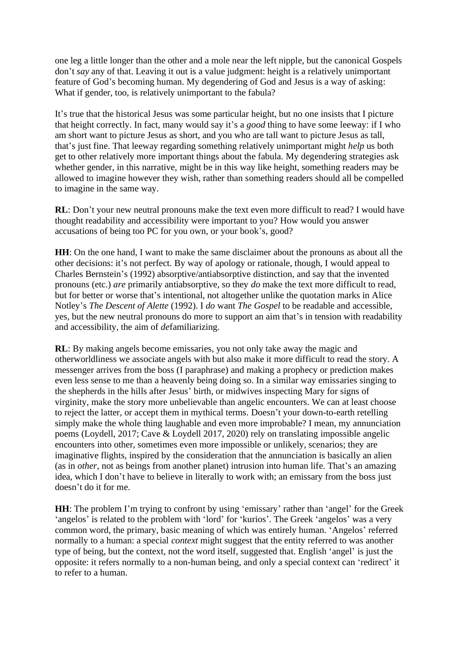one leg a little longer than the other and a mole near the left nipple, but the canonical Gospels don't *say* any of that. Leaving it out is a value judgment: height is a relatively unimportant feature of God's becoming human. My degendering of God and Jesus is a way of asking: What if gender, too, is relatively unimportant to the fabula?

It's true that the historical Jesus was some particular height, but no one insists that I picture that height correctly. In fact, many would say it's a *good* thing to have some leeway: if I who am short want to picture Jesus as short, and you who are tall want to picture Jesus as tall, that's just fine. That leeway regarding something relatively unimportant might *help* us both get to other relatively more important things about the fabula. My degendering strategies ask whether gender, in this narrative, might be in this way like height, something readers may be allowed to imagine however they wish, rather than something readers should all be compelled to imagine in the same way.

**RL**: Don't your new neutral pronouns make the text even more difficult to read? I would have thought readability and accessibility were important to you? How would you answer accusations of being too PC for you own, or your book's, good?

**HH**: On the one hand, I want to make the same disclaimer about the pronouns as about all the other decisions: it's not perfect. By way of apology or rationale, though, I would appeal to Charles Bernstein's (1992) absorptive/antiabsorptive distinction, and say that the invented pronouns (etc.) *are* primarily antiabsorptive, so they *do* make the text more difficult to read, but for better or worse that's intentional, not altogether unlike the quotation marks in Alice Notley's *The Descent of Alette* (1992). I *do* want *The Gospel* to be readable and accessible, yes, but the new neutral pronouns do more to support an aim that's in tension with readability and accessibility, the aim of *de*familiarizing.

**RL**: By making angels become emissaries, you not only take away the magic and otherworldliness we associate angels with but also make it more difficult to read the story. A messenger arrives from the boss (I paraphrase) and making a prophecy or prediction makes even less sense to me than a heavenly being doing so. In a similar way emissaries singing to the shepherds in the hills after Jesus' birth, or midwives inspecting Mary for signs of virginity, make the story more unbelievable than angelic encounters. We can at least choose to reject the latter, or accept them in mythical terms. Doesn't your down-to-earth retelling simply make the whole thing laughable and even more improbable? I mean, my annunciation poems (Loydell, 2017; Cave & Loydell 2017, 2020) rely on translating impossible angelic encounters into other, sometimes even more impossible or unlikely, scenarios; they are imaginative flights, inspired by the consideration that the annunciation is basically an alien (as in *other*, not as beings from another planet) intrusion into human life. That's an amazing idea, which I don't have to believe in literally to work with; an emissary from the boss just doesn't do it for me.

**HH**: The problem I'm trying to confront by using 'emissary' rather than 'angel' for the Greek 'angelos' is related to the problem with 'lord' for 'kurios'. The Greek 'angelos' was a very common word, the primary, basic meaning of which was entirely human. 'Angelos' referred normally to a human: a special *context* might suggest that the entity referred to was another type of being, but the context, not the word itself, suggested that. English 'angel' is just the opposite: it refers normally to a non-human being, and only a special context can 'redirect' it to refer to a human.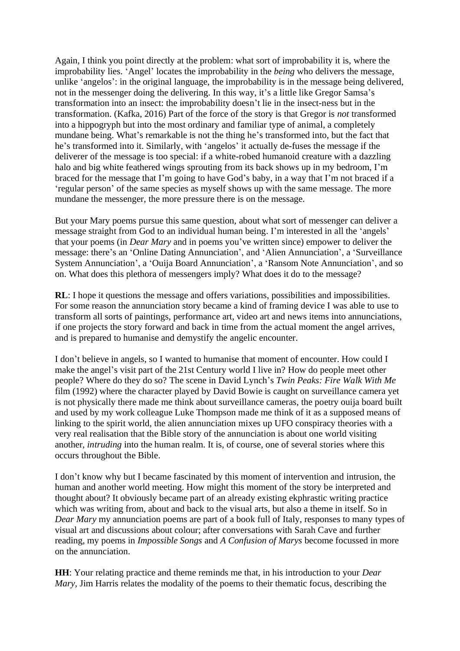Again, I think you point directly at the problem: what sort of improbability it is, where the improbability lies. 'Angel' locates the improbability in the *being* who delivers the message, unlike 'angelos': in the original language, the improbability is in the message being delivered, not in the messenger doing the delivering. In this way, it's a little like Gregor Samsa's transformation into an insect: the improbability doesn't lie in the insect-ness but in the transformation. (Kafka, 2016) Part of the force of the story is that Gregor is *not* transformed into a hippogryph but into the most ordinary and familiar type of animal, a completely mundane being. What's remarkable is not the thing he's transformed into, but the fact that he's transformed into it. Similarly, with 'angelos' it actually de-fuses the message if the deliverer of the message is too special: if a white-robed humanoid creature with a dazzling halo and big white feathered wings sprouting from its back shows up in my bedroom, I'm braced for the message that I'm going to have God's baby, in a way that I'm not braced if a 'regular person' of the same species as myself shows up with the same message. The more mundane the messenger, the more pressure there is on the message.

But your Mary poems pursue this same question, about what sort of messenger can deliver a message straight from God to an individual human being. I'm interested in all the 'angels' that your poems (in *Dear Mary* and in poems you've written since) empower to deliver the message: there's an 'Online Dating Annunciation', and 'Alien Annunciation', a 'Surveillance System Annunciation', a 'Ouija Board Annunciation', a 'Ransom Note Annunciation', and so on. What does this plethora of messengers imply? What does it do to the message?

**RL**: I hope it questions the message and offers variations, possibilities and impossibilities. For some reason the annunciation story became a kind of framing device I was able to use to transform all sorts of paintings, performance art, video art and news items into annunciations, if one projects the story forward and back in time from the actual moment the angel arrives, and is prepared to humanise and demystify the angelic encounter.

I don't believe in angels, so I wanted to humanise that moment of encounter. How could I make the angel's visit part of the 21st Century world I live in? How do people meet other people? Where do they do so? The scene in David Lynch's *Twin Peaks: Fire Walk With Me* film (1992) where the character played by David Bowie is caught on surveillance camera yet is not physically there made me think about surveillance cameras, the poetry ouija board built and used by my work colleague Luke Thompson made me think of it as a supposed means of linking to the spirit world, the alien annunciation mixes up UFO conspiracy theories with a very real realisation that the Bible story of the annunciation is about one world visiting another, *intruding* into the human realm. It is, of course, one of several stories where this occurs throughout the Bible.

I don't know why but I became fascinated by this moment of intervention and intrusion, the human and another world meeting. How might this moment of the story be interpreted and thought about? It obviously became part of an already existing ekphrastic writing practice which was writing from, about and back to the visual arts, but also a theme in itself. So in *Dear Mary* my annunciation poems are part of a book full of Italy, responses to many types of visual art and discussions about colour; after conversations with Sarah Cave and further reading, my poems in *Impossible Songs* and *A Confusion of Marys* become focussed in more on the annunciation.

**HH**: Your relating practice and theme reminds me that, in his introduction to your *Dear Mary*, Jim Harris relates the modality of the poems to their thematic focus, describing the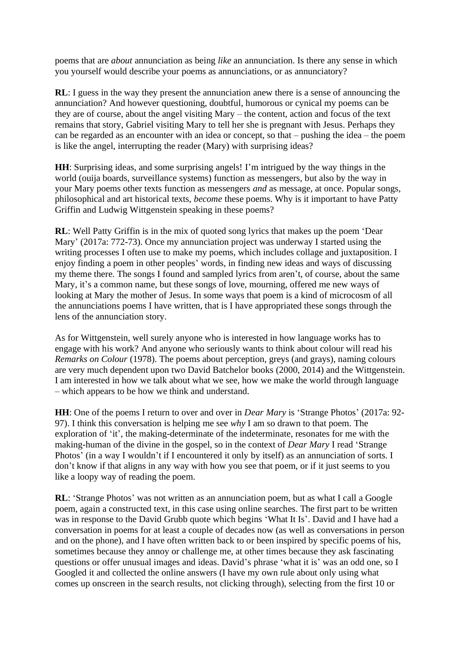poems that are *about* annunciation as being *like* an annunciation. Is there any sense in which you yourself would describe your poems as annunciations, or as annunciatory?

**RL**: I guess in the way they present the annunciation anew there is a sense of announcing the annunciation? And however questioning, doubtful, humorous or cynical my poems can be they are of course, about the angel visiting Mary – the content, action and focus of the text remains that story, Gabriel visiting Mary to tell her she is pregnant with Jesus. Perhaps they can be regarded as an encounter with an idea or concept, so that – pushing the idea – the poem is like the angel, interrupting the reader (Mary) with surprising ideas?

**HH**: Surprising ideas, and some surprising angels! I'm intrigued by the way things in the world (ouija boards, surveillance systems) function as messengers, but also by the way in your Mary poems other texts function as messengers *and* as message, at once. Popular songs, philosophical and art historical texts, *become* these poems. Why is it important to have Patty Griffin and Ludwig Wittgenstein speaking in these poems?

**RL**: Well Patty Griffin is in the mix of quoted song lyrics that makes up the poem 'Dear Mary' (2017a: 772-73). Once my annunciation project was underway I started using the writing processes I often use to make my poems, which includes collage and juxtaposition. I enjoy finding a poem in other peoples' words, in finding new ideas and ways of discussing my theme there. The songs I found and sampled lyrics from aren't, of course, about the same Mary, it's a common name, but these songs of love, mourning, offered me new ways of looking at Mary the mother of Jesus. In some ways that poem is a kind of microcosm of all the annunciations poems I have written, that is I have appropriated these songs through the lens of the annunciation story.

As for Wittgenstein, well surely anyone who is interested in how language works has to engage with his work? And anyone who seriously wants to think about colour will read his *Remarks on Colour* (1978). The poems about perception, greys (and grays), naming colours are very much dependent upon two David Batchelor books (2000, 2014) and the Wittgenstein. I am interested in how we talk about what we see, how we make the world through language – which appears to be how we think and understand.

**HH**: One of the poems I return to over and over in *Dear Mary* is 'Strange Photos' (2017a: 92- 97). I think this conversation is helping me see *why* I am so drawn to that poem. The exploration of 'it', the making-determinate of the indeterminate, resonates for me with the making-human of the divine in the gospel, so in the context of *Dear Mary* I read 'Strange Photos' (in a way I wouldn't if I encountered it only by itself) as an annunciation of sorts. I don't know if that aligns in any way with how you see that poem, or if it just seems to you like a loopy way of reading the poem.

**RL**: 'Strange Photos' was not written as an annunciation poem, but as what I call a Google poem, again a constructed text, in this case using online searches. The first part to be written was in response to the David Grubb quote which begins 'What It Is'. David and I have had a conversation in poems for at least a couple of decades now (as well as conversations in person and on the phone), and I have often written back to or been inspired by specific poems of his, sometimes because they annoy or challenge me, at other times because they ask fascinating questions or offer unusual images and ideas. David's phrase 'what it is' was an odd one, so I Googled it and collected the online answers (I have my own rule about only using what comes up onscreen in the search results, not clicking through), selecting from the first 10 or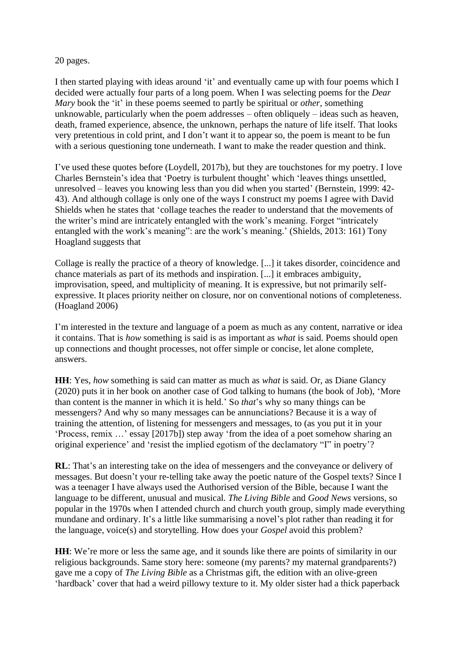20 pages.

I then started playing with ideas around 'it' and eventually came up with four poems which I decided were actually four parts of a long poem. When I was selecting poems for the *Dear Mary* book the 'it' in these poems seemed to partly be spiritual or *other*, something unknowable, particularly when the poem addresses – often obliquely – ideas such as heaven, death, framed experience, absence, the unknown, perhaps the nature of life itself. That looks very pretentious in cold print, and I don't want it to appear so, the poem is meant to be fun with a serious questioning tone underneath. I want to make the reader question and think.

I've used these quotes before (Loydell, 2017b), but they are touchstones for my poetry. I love Charles Bernstein's idea that 'Poetry is turbulent thought' which 'leaves things unsettled, unresolved – leaves you knowing less than you did when you started' (Bernstein, 1999: 42- 43). And although collage is only one of the ways I construct my poems I agree with David Shields when he states that 'collage teaches the reader to understand that the movements of the writer's mind are intricately entangled with the work's meaning. Forget "intricately entangled with the work's meaning": are the work's meaning.' (Shields, 2013: 161) Tony Hoagland suggests that

Collage is really the practice of a theory of knowledge. [...] it takes disorder, coincidence and chance materials as part of its methods and inspiration. [...] it embraces ambiguity, improvisation, speed, and multiplicity of meaning. It is expressive, but not primarily selfexpressive. It places priority neither on closure, nor on conventional notions of completeness. (Hoagland 2006)

I'm interested in the texture and language of a poem as much as any content, narrative or idea it contains. That is *how* something is said is as important as *what* is said. Poems should open up connections and thought processes, not offer simple or concise, let alone complete, answers.

**HH**: Yes, *how* something is said can matter as much as *what* is said. Or, as Diane Glancy (2020) puts it in her book on another case of God talking to humans (the book of Job), 'More than content is the manner in which it is held.' So *that*'s why so many things can be messengers? And why so many messages can be annunciations? Because it is a way of training the attention, of listening for messengers and messages, to (as you put it in your 'Process, remix …' essay [2017b]) step away 'from the idea of a poet somehow sharing an original experience' and 'resist the implied egotism of the declamatory "I" in poetry'?

**RL**: That's an interesting take on the idea of messengers and the conveyance or delivery of messages. But doesn't your re-telling take away the poetic nature of the Gospel texts? Since I was a teenager I have always used the Authorised version of the Bible, because I want the language to be different, unusual and musical. *The Living Bible* and *Good News* versions, so popular in the 1970s when I attended church and church youth group, simply made everything mundane and ordinary. It's a little like summarising a novel's plot rather than reading it for the language, voice(s) and storytelling. How does your *Gospel* avoid this problem?

**HH**: We're more or less the same age, and it sounds like there are points of similarity in our religious backgrounds. Same story here: someone (my parents? my maternal grandparents?) gave me a copy of *The Living Bible* as a Christmas gift, the edition with an olive-green 'hardback' cover that had a weird pillowy texture to it. My older sister had a thick paperback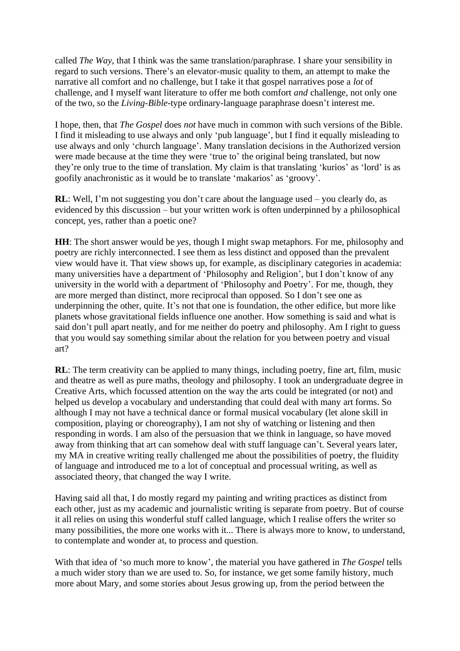called *The Way*, that I think was the same translation/paraphrase. I share your sensibility in regard to such versions. There's an elevator-music quality to them, an attempt to make the narrative all comfort and no challenge, but I take it that gospel narratives pose a *lot* of challenge, and I myself want literature to offer me both comfort *and* challenge, not only one of the two, so the *Living-Bible*-type ordinary-language paraphrase doesn't interest me.

I hope, then, that *The Gospel* does *not* have much in common with such versions of the Bible. I find it misleading to use always and only 'pub language', but I find it equally misleading to use always and only 'church language'. Many translation decisions in the Authorized version were made because at the time they were 'true to' the original being translated, but now they're only true to the time of translation. My claim is that translating 'kurios' as 'lord' is as goofily anachronistic as it would be to translate 'makarios' as 'groovy'.

**RL**: Well, I'm not suggesting you don't care about the language used – you clearly do, as evidenced by this discussion – but your written work is often underpinned by a philosophical concept, yes, rather than a poetic one?

**HH**: The short answer would be *yes*, though I might swap metaphors. For me, philosophy and poetry are richly interconnected. I see them as less distinct and opposed than the prevalent view would have it. That view shows up, for example, as disciplinary categories in academia: many universities have a department of 'Philosophy and Religion', but I don't know of any university in the world with a department of 'Philosophy and Poetry'. For me, though, they are more merged than distinct, more reciprocal than opposed. So I don't see one as underpinning the other, quite. It's not that one is foundation, the other edifice, but more like planets whose gravitational fields influence one another. How something is said and what is said don't pull apart neatly, and for me neither do poetry and philosophy. Am I right to guess that you would say something similar about the relation for you between poetry and visual art?

**RL**: The term creativity can be applied to many things, including poetry, fine art, film, music and theatre as well as pure maths, theology and philosophy. I took an undergraduate degree in Creative Arts, which focussed attention on the way the arts could be integrated (or not) and helped us develop a vocabulary and understanding that could deal with many art forms. So although I may not have a technical dance or formal musical vocabulary (let alone skill in composition, playing or choreography), I am not shy of watching or listening and then responding in words. I am also of the persuasion that we think in language, so have moved away from thinking that art can somehow deal with stuff language can't. Several years later, my MA in creative writing really challenged me about the possibilities of poetry, the fluidity of language and introduced me to a lot of conceptual and processual writing, as well as associated theory, that changed the way I write.

Having said all that, I do mostly regard my painting and writing practices as distinct from each other, just as my academic and journalistic writing is separate from poetry. But of course it all relies on using this wonderful stuff called language, which I realise offers the writer so many possibilities, the more one works with it... There is always more to know, to understand, to contemplate and wonder at, to process and question.

With that idea of 'so much more to know', the material you have gathered in *The Gospel* tells a much wider story than we are used to. So, for instance, we get some family history, much more about Mary, and some stories about Jesus growing up, from the period between the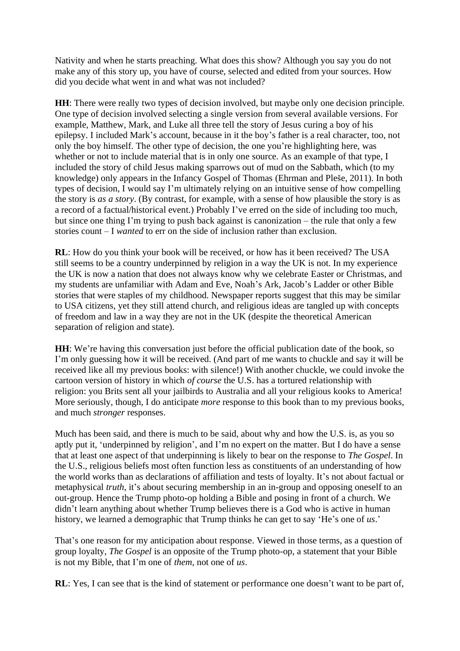Nativity and when he starts preaching. What does this show? Although you say you do not make any of this story up, you have of course, selected and edited from your sources. How did you decide what went in and what was not included?

**HH**: There were really two types of decision involved, but maybe only one decision principle. One type of decision involved selecting a single version from several available versions. For example, Matthew, Mark, and Luke all three tell the story of Jesus curing a boy of his epilepsy. I included Mark's account, because in it the boy's father is a real character, too, not only the boy himself. The other type of decision, the one you're highlighting here, was whether or not to include material that is in only one source. As an example of that type, I included the story of child Jesus making sparrows out of mud on the Sabbath, which (to my knowledge) only appears in the Infancy Gospel of Thomas (Ehrman and Pleše, 2011). In both types of decision, I would say I'm ultimately relying on an intuitive sense of how compelling the story is *as a story*. (By contrast, for example, with a sense of how plausible the story is as a record of a factual/historical event.) Probably I've erred on the side of including too much, but since one thing I'm trying to push back against is canonization – the rule that only a few stories count – I *wanted* to err on the side of inclusion rather than exclusion.

**RL**: How do you think your book will be received, or how has it been received? The USA still seems to be a country underpinned by religion in a way the UK is not. In my experience the UK is now a nation that does not always know why we celebrate Easter or Christmas, and my students are unfamiliar with Adam and Eve, Noah's Ark, Jacob's Ladder or other Bible stories that were staples of my childhood. Newspaper reports suggest that this may be similar to USA citizens, yet they still attend church, and religious ideas are tangled up with concepts of freedom and law in a way they are not in the UK (despite the theoretical American separation of religion and state).

**HH**: We're having this conversation just before the official publication date of the book, so I'm only guessing how it will be received. (And part of me wants to chuckle and say it will be received like all my previous books: with silence!) With another chuckle, we could invoke the cartoon version of history in which *of course* the U.S. has a tortured relationship with religion: you Brits sent all your jailbirds to Australia and all your religious kooks to America! More seriously, though, I do anticipate *more* response to this book than to my previous books, and much *stronger* responses.

Much has been said, and there is much to be said, about why and how the U.S. is, as you so aptly put it, 'underpinned by religion', and I'm no expert on the matter. But I do have a sense that at least one aspect of that underpinning is likely to bear on the response to *The Gospel*. In the U.S., religious beliefs most often function less as constituents of an understanding of how the world works than as declarations of affiliation and tests of loyalty. It's not about factual or metaphysical *truth*, it's about securing membership in an in-group and opposing oneself to an out-group. Hence the Trump photo-op holding a Bible and posing in front of a church. We didn't learn anything about whether Trump believes there is a God who is active in human history, we learned a demographic that Trump thinks he can get to say 'He's one of *us*.'

That's one reason for my anticipation about response. Viewed in those terms, as a question of group loyalty, *The Gospel* is an opposite of the Trump photo-op, a statement that your Bible is not my Bible, that I'm one of *them*, not one of *us*.

**RL**: Yes, I can see that is the kind of statement or performance one doesn't want to be part of,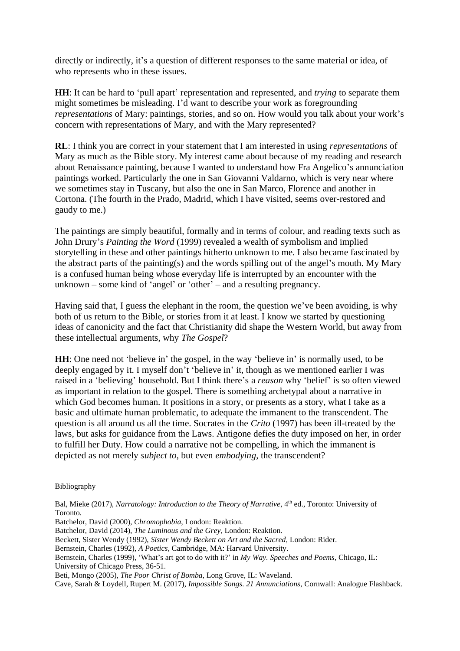directly or indirectly, it's a question of different responses to the same material or idea, of who represents who in these issues.

**HH**: It can be hard to 'pull apart' representation and represented, and *trying* to separate them might sometimes be misleading. I'd want to describe your work as foregrounding *representations* of Mary: paintings, stories, and so on. How would you talk about your work's concern with representations of Mary, and with the Mary represented?

**RL**: I think you are correct in your statement that I am interested in using *representations* of Mary as much as the Bible story. My interest came about because of my reading and research about Renaissance painting, because I wanted to understand how Fra Angelico's annunciation paintings worked. Particularly the one in San Giovanni Valdarno, which is very near where we sometimes stay in Tuscany, but also the one in San Marco, Florence and another in Cortona. (The fourth in the Prado, Madrid, which I have visited, seems over-restored and gaudy to me.)

The paintings are simply beautiful, formally and in terms of colour, and reading texts such as John Drury's *Painting the Word* (1999) revealed a wealth of symbolism and implied storytelling in these and other paintings hitherto unknown to me. I also became fascinated by the abstract parts of the painting(s) and the words spilling out of the angel's mouth. My Mary is a confused human being whose everyday life is interrupted by an encounter with the unknown – some kind of 'angel' or 'other' – and a resulting pregnancy.

Having said that, I guess the elephant in the room, the question we've been avoiding, is why both of us return to the Bible, or stories from it at least. I know we started by questioning ideas of canonicity and the fact that Christianity did shape the Western World, but away from these intellectual arguments, why *The Gospel*?

**HH**: One need not 'believe in' the gospel, in the way 'believe in' is normally used, to be deeply engaged by it. I myself don't 'believe in' it, though as we mentioned earlier I was raised in a 'believing' household. But I think there's a *reason* why 'belief' is so often viewed as important in relation to the gospel. There is something archetypal about a narrative in which God becomes human. It positions in a story, or presents as a story, what I take as a basic and ultimate human problematic, to adequate the immanent to the transcendent. The question is all around us all the time. Socrates in the *Crito* (1997) has been ill-treated by the laws, but asks for guidance from the Laws. Antigone defies the duty imposed on her, in order to fulfill her Duty. How could a narrative not be compelling, in which the immanent is depicted as not merely *subject to*, but even *embodying*, the transcendent?

Bibliography

Bal, Mieke (2017), *Narratology: Introduction to the Theory of Narrative*, 4<sup>th</sup> ed., Toronto: University of Toronto.

Batchelor, David (2000), *Chromophobia*, London: Reaktion.

Batchelor, David (2014), *The Luminous and the Grey*, London: Reaktion.

Beckett, Sister Wendy (1992), *Sister Wendy Beckett on Art and the Sacred*, London: Rider.

Bernstein, Charles (1992), *A Poetics*, Cambridge, MA: Harvard University.

Bernstein, Charles (1999), 'What's art got to do with it?' in *My Way. Speeches and Poems,* Chicago, IL: University of Chicago Press, 36-51.

Beti, Mongo (2005), *The Poor Christ of Bomba*, Long Grove, IL: Waveland.

Cave, Sarah & Loydell, Rupert M. (2017), *Impossible Songs. 21 Annunciations*, Cornwall: Analogue Flashback.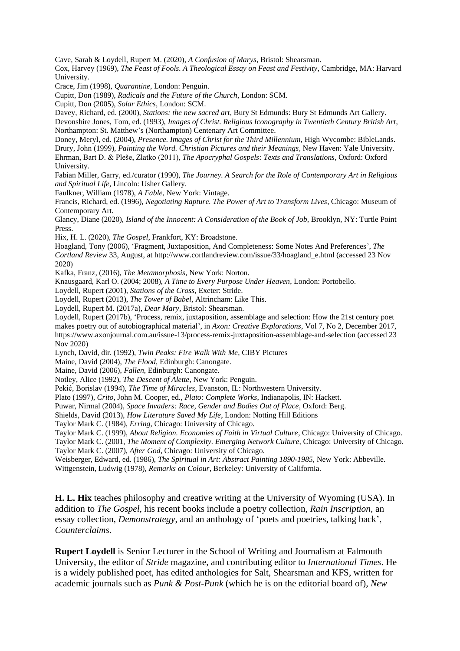Cave, Sarah & Loydell, Rupert M. (2020), *A Confusion of Marys*, Bristol: Shearsman.

Cox, Harvey (1969), *The Feast of Fools. A Theological Essay on Feast and Festivity*, Cambridge, MA: Harvard University.

Crace, Jim (1998), *Quarantine*, London: Penguin.

Cupitt, Don (1989), *Radicals and the Future of the Church*, London: SCM.

Cupitt, Don (2005), *Solar Ethics*, London: SCM.

Davey, Richard, ed. (2000), *Stations: the new sacred art*, Bury St Edmunds: Bury St Edmunds Art Gallery. Devonshire Jones, Tom, ed. (1993), *Images of Christ. Religious Iconography in Twentieth Century British Art*, Northampton: St. Matthew's (Northampton) Centenary Art Committee.

Doney, Meryl, ed. (2004), *Presence. Images of Christ for the Third Millennium*, High Wycombe: BibleLands. Drury, John (1999), *Painting the Word. Christian Pictures and their Meanings*, New Haven: Yale University. Ehrman, Bart D. & Pleše, Zlatko (2011), *The Apocryphal Gospels: Texts and Translations*, Oxford: Oxford University.

Fabian Miller, Garry, ed./curator (1990), *The Journey. A Search for the Role of Contemporary Art in Religious and Spiritual Life*, Lincoln: Usher Gallery.

Faulkner, William (1978), *A Fable*, New York: Vintage.

Francis, Richard, ed. (1996), *Negotiating Rapture. The Power of Art to Transform Lives*, Chicago: Museum of Contemporary Art.

Glancy, Diane (2020), *Island of the Innocent: A Consideration of the Book of Job*, Brooklyn, NY: Turtle Point Press.

Hix, H. L. (2020), *The Gospel*, Frankfort, KY: Broadstone.

Hoagland, Tony (2006), 'Fragment, Juxtaposition, And Completeness: Some Notes And Preferences', *The Cortland Review* 33, August, at http://www.cortlandreview.com/issue/33/hoagland\_e.html (accessed 23 Nov 2020)

Kafka, Franz, (2016), *The Metamorphosis*, New York: Norton.

Knausgaard, Karl O. (2004; 2008), *A Time to Every Purpose Under Heaven*, London: Portobello.

Loydell, Rupert (2001), *Stations of the Cross*, Exeter: Stride.

Loydell, Rupert (2013), *The Tower of Babel*, Altrincham: Like This.

Loydell, Rupert M. (2017a), *Dear Mary*, Bristol: Shearsman.

Loydell, Rupert (2017b), 'Process, remix, juxtaposition, assemblage and selection: How the 21st century poet makes poetry out of autobiographical material', in *Axon: Creative Explorations*, Vol 7, No 2, December 2017, https://www.axonjournal.com.au/issue-13/process-remix-juxtaposition-assemblage-and-selection (accessed 23 Nov 2020)

Lynch, David, dir. (1992), *Twin Peaks: Fire Walk With Me*, CIBY Pictures

Maine, David (2004), *The Flood*, Edinburgh: Canongate.

Maine, David (2006), *Fallen*, Edinburgh: Canongate.

Notley, Alice (1992), *The Descent of Alette*, New York: Penguin.

Pekić, Borislav (1994), *The Time of Miracles*, Evanston, IL: Northwestern University.

Plato (1997), *Crito*, John M. Cooper, ed., *Plato: Complete Works*, Indianapolis, IN: Hackett.

Puwar, Nirmal (2004), *Space Invaders: Race, Gender and Bodies Out of Place*, Oxford: Berg.

Shields, David (2013), *How Literature Saved My Life*, London: Notting Hill Editions

Taylor Mark C. (1984), *Erring,* Chicago: University of Chicago.

Taylor Mark C. (1999), *About Religion. Economies of Faith in Virtual Culture*, Chicago: University of Chicago. Taylor Mark C. (2001, *The Moment of Complexity. Emerging Network Culture,* Chicago: University of Chicago.

Taylor Mark C. (2007), *After God*, Chicago: University of Chicago.

Weisberger, Edward, ed. (1986), *The Spiritual in Art: Abstract Painting 1890-1985*, New York: Abbeville.

Wittgenstein, Ludwig (1978), *Remarks on Colour*, Berkeley: University of California.

**H. L. Hix** teaches philosophy and creative writing at the University of Wyoming (USA). In addition to *The Gospel*, his recent books include a poetry collection, *Rain Inscription*, an essay collection, *Demonstrategy*, and an anthology of 'poets and poetries, talking back', *Counterclaims*.

**Rupert Loydell** is Senior Lecturer in the School of Writing and Journalism at Falmouth University, the editor of *Stride* magazine, and contributing editor to *International Times*. He is a widely published poet, has edited anthologies for Salt, Shearsman and KFS, written for academic journals such as *Punk & Post-Punk* (which he is on the editorial board of)*, New*